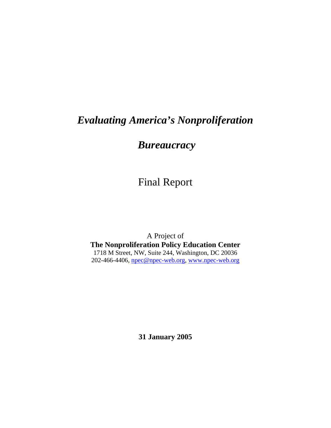# *Evaluating America's Nonproliferation*

# *Bureaucracy*

# Final Report

A Project of **The Nonproliferation Policy Education Center**  1718 M Street, NW, Suite 244, Washington, DC 20036 202-466-4406, [npec@npec-web.org](mailto:npec@npec-web.org), [www.npec-web.org](http://www.npec-web.org/)

**31 January 2005**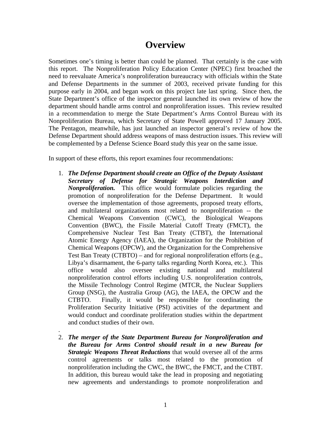## **Overview**

Sometimes one's timing is better than could be planned. That certainly is the case with this report. The Nonproliferation Policy Education Center (NPEC) first broached the need to reevaluate America's nonproliferation bureaucracy with officials within the State and Defense Departments in the summer of 2003, received private funding for this purpose early in 2004, and began work on this project late last spring. Since then, the State Department's office of the inspector general launched its own review of how the department should handle arms control and nonproliferation issues. This review resulted in a recommendation to merge the State Department's Arms Control Bureau with its Nonproliferation Bureau, which Secretary of State Powell approved 17 January 2005. The Pentagon, meanwhile, has just launched an inspector general's review of how the Defense Department should address weapons of mass destruction issues. This review will be complemented by a Defense Science Board study this year on the same issue.

In support of these efforts, this report examines four recommendations:

- 1. *The Defense Department should create an Office of the Deputy Assistant Secretary of Defense for Strategic Weapons Interdiction and Nonproliferation.* This office would formulate policies regarding the promotion of nonproliferation for the Defense Department. It would oversee the implementation of those agreements, proposed treaty efforts, and multilateral organizations most related to nonproliferation -- the Chemical Weapons Convention (CWC), the Biological Weapons Convention (BWC), the Fissile Material Cutoff Treaty (FMCT), the Comprehensive Nuclear Test Ban Treaty (CTBT), the International Atomic Energy Agency (IAEA), the Organization for the Prohibition of Chemical Weapons (OPCW), and the Organization for the Comprehensive Test Ban Treaty (CTBTO) – and for regional nonproliferation efforts (e.g., Libya's disarmament, the 6-party talks regarding North Korea, etc.). This office would also oversee existing national and multilateral nonproliferation control efforts including U.S. nonproliferation controls, the Missile Technology Control Regime (MTCR, the Nuclear Suppliers Group (NSG), the Australia Group (AG), the IAEA, the OPCW and the CTBTO. Finally, it would be responsible for coordinating the Proliferation Security Initiative (PSI) activities of the department and would conduct and coordinate proliferation studies within the department and conduct studies of their own.
- . 2. *The merger of the State Department Bureau for Nonproliferation and the Bureau for Arms Control should result in a new Bureau for Strategic Weapons Threat Reductions* that would oversee all of the arms control agreements or talks most related to the promotion of nonproliferation including the CWC, the BWC, the FMCT, and the CTBT. In addition, this bureau would take the lead in proposing and negotiating new agreements and understandings to promote nonproliferation and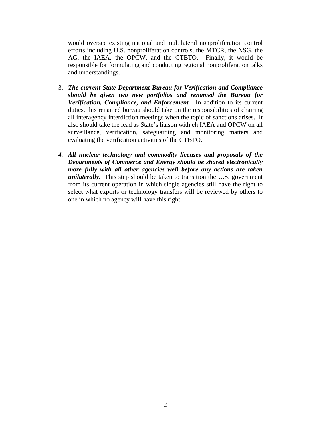would oversee existing national and multilateral nonproliferation control efforts including U.S. nonproliferation controls, the MTCR, the NSG, the AG, the IAEA, the OPCW, and the CTBTO. Finally, it would be responsible for formulating and conducting regional nonproliferation talks and understandings.

- 3. *The current State Department Bureau for Verification and Compliance should be given two new portfolios and renamed the Bureau for Verification, Compliance, and Enforcement.* In addition to its current duties, this renamed bureau should take on the responsibilities of chairing all interagency interdiction meetings when the topic of sanctions arises. It also should take the lead as State's liaison with eh IAEA and OPCW on all surveillance, verification, safeguarding and monitoring matters and evaluating the verification activities of the CTBTO.
- *4. All nuclear technology and commodity licenses and proposals of the Departments of Commerce and Energy should be shared electronically more fully with all other agencies well before any actions are taken unilaterally.* This step should be taken to transition the U.S. government from its current operation in which single agencies still have the right to select what exports or technology transfers will be reviewed by others to one in which no agency will have this right.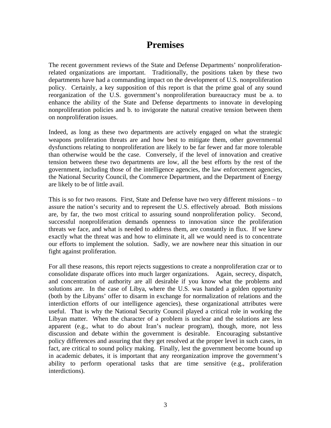## **Premises**

The recent government reviews of the State and Defense Departments' nonproliferationrelated organizations are important. Traditionally, the positions taken by these two departments have had a commanding impact on the development of U.S. nonproliferation policy. Certainly, a key supposition of this report is that the prime goal of any sound reorganization of the U.S. government's nonproliferation bureaucracy must be a. to enhance the ability of the State and Defense departments to innovate in developing nonproliferation policies and b. to invigorate the natural creative tension between them on nonproliferation issues.

Indeed, as long as these two departments are actively engaged on what the strategic weapons proliferation threats are and how best to mitigate them, other governmental dysfunctions relating to nonproliferation are likely to be far fewer and far more tolerable than otherwise would be the case. Conversely, if the level of innovation and creative tension between these two departments are low, all the best efforts by the rest of the government, including those of the intelligence agencies, the law enforcement agencies, the National Security Council, the Commerce Department, and the Department of Energy are likely to be of little avail.

This is so for two reasons. First, State and Defense have two very different missions – to assure the nation's security and to represent the U.S. effectively abroad. Both missions are, by far, the two most critical to assuring sound nonproliferation policy. Second, successful nonproliferation demands openness to innovation since the proliferation threats we face, and what is needed to address them, are constantly in flux. If we knew exactly what the threat was and how to eliminate it, all we would need is to concentrate our efforts to implement the solution. Sadly, we are nowhere near this situation in our fight against proliferation.

For all these reasons, this report rejects suggestions to create a nonproliferation czar or to consolidate disparate offices into much larger organizations. Again, secrecy, dispatch, and concentration of authority are all desirable if you know what the problems and solutions are. In the case of Libya, where the U.S. was handed a golden opportunity (both by the Libyans' offer to disarm in exchange for normalization of relations and the interdiction efforts of our intelligence agencies), these organizational attributes were useful. That is why the National Security Council played a critical role in working the Libyan matter. When the character of a problem is unclear and the solutions are less apparent (e.g., what to do about Iran's nuclear program), though, more, not less discussion and debate within the government is desirable. Encouraging substantive policy differences and assuring that they get resolved at the proper level in such cases, in fact, are critical to sound policy making. Finally, lest the government become bound up in academic debates, it is important that any reorganization improve the government's ability to perform operational tasks that are time sensitive (e.g., proliferation interdictions).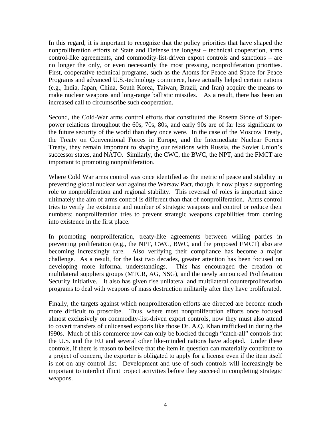In this regard, it is important to recognize that the policy priorities that have shaped the nonproliferation efforts of State and Defense the longest – technical cooperation, arms control-like agreements, and commodity-list-driven export controls and sanctions – are no longer the only, or even necessarily the most pressing, nonproliferation priorities. First, cooperative technical programs, such as the Atoms for Peace and Space for Peace Programs and advanced U.S.-technology commerce, have actually helped certain nations (e.g., India, Japan, China, South Korea, Taiwan, Brazil, and Iran) acquire the means to make nuclear weapons and long-range ballistic missiles. As a result, there has been an increased call to circumscribe such cooperation.

Second, the Cold-War arms control efforts that constituted the Rosetta Stone of Superpower relations throughout the 60s, 70s, 80s, and early 90s are of far less significant to the future security of the world than they once were. In the case of the Moscow Treaty, the Treaty on Conventional Forces in Europe, and the Intermediate Nuclear Forces Treaty, they remain important to shaping our relations with Russia, the Soviet Union's successor states, and NATO. Similarly, the CWC, the BWC, the NPT, and the FMCT are important to promoting nonproliferation.

Where Cold War arms control was once identified as the metric of peace and stability in preventing global nuclear war against the Warsaw Pact, though, it now plays a supporting role to nonproliferation and regional stability. This reversal of roles is important since ultimately the aim of arms control is different than that of nonproliferation. Arms control tries to verify the existence and number of strategic weapons and control or reduce their numbers; nonproliferation tries to prevent strategic weapons capabilities from coming into existence in the first place.

In promoting nonproliferation, treaty-like agreements between willing parties in preventing proliferation (e.g., the NPT, CWC, BWC, and the proposed FMCT) also are becoming increasingly rare. Also verifying their compliance has become a major challenge. As a result, for the last two decades, greater attention has been focused on developing more informal understandings. This has encouraged the creation of multilateral suppliers groups (MTCR, AG, NSG), and the newly announced Proliferation Security Initiative. It also has given rise unilateral and multilateral counterproliferation programs to deal with weapons of mass destruction militarily after they have proliferated.

Finally, the targets against which nonproliferation efforts are directed are become much more difficult to proscribe. Thus, where most nonproliferation efforts once focused almost exclusively on commodity-list-driven export controls, now they must also attend to covert transfers of unlicensed exports like those Dr. A.Q. Khan trafficked in during the l990s. Much of this commerce now can only be blocked through "catch-all" controls that the U.S. and the EU and several other like-minded nations have adopted. Under these controls, if there is reason to believe that the item in question can materially contribute to a project of concern, the exporter is obligated to apply for a license even if the item itself is not on any control list. Development and use of such controls will increasingly be important to interdict illicit project activities before they succeed in completing strategic weapons.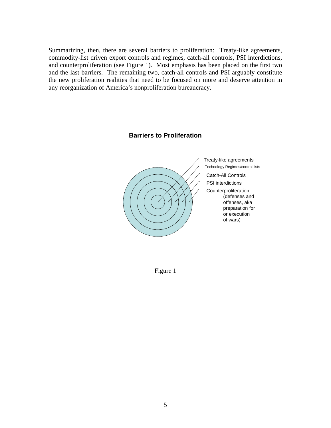Summarizing, then, there are several barriers to proliferation: Treaty-like agreements, commodity-list driven export controls and regimes, catch-all controls, PSI interdictions, and counterproliferation (see Figure 1). Most emphasis has been placed on the first two and the last barriers. The remaining two, catch-all controls and PSI arguably constitute the new proliferation realities that need to be focused on more and deserve attention in any reorganization of America's nonproliferation bureaucracy.

#### **Barriers to Proliferation**



Figure 1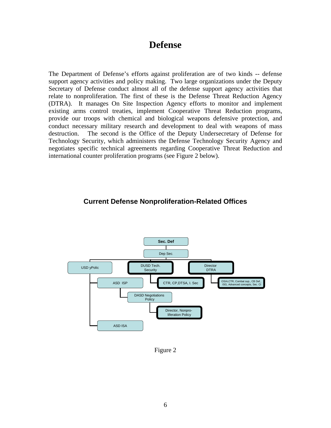### **Defense**

The Department of Defense's efforts against proliferation are of two kinds -- defense support agency activities and policy making. Two large organizations under the Deputy Secretary of Defense conduct almost all of the defense support agency activities that relate to nonproliferation. The first of these is the Defense Threat Reduction Agency (DTRA). It manages On Site Inspection Agency efforts to monitor and implement existing arms control treaties, implement Cooperative Threat Reduction programs, provide our troops with chemical and biological weapons defensive protection, and conduct necessary military research and development to deal with weapons of mass destruction. The second is the Office of the Deputy Undersecretary of Defense for Technology Security, which administers the Defense Technology Security Agency and negotiates specific technical agreements regarding Cooperative Threat Reduction and international counter proliferation programs (see Figure 2 below).

### **Current Defense Nonproliferation-Related Offices**



Figure 2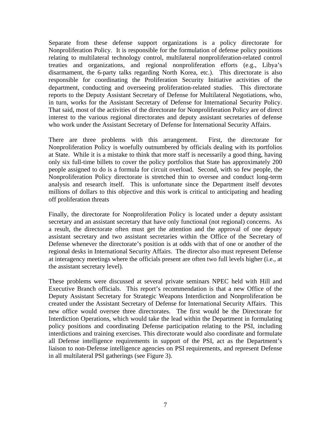Separate from these defense support organizations is a policy directorate for Nonproliferation Policy. It is responsible for the formulation of defense policy positions relating to multilateral technology control, multilateral nonproliferation-related control treaties and organizations, and regional nonproliferation efforts (e.g., Libya's disarmament, the 6-party talks regarding North Korea, etc.). This directorate is also responsible for coordinating the Proliferation Security Initiative activities of the department, conducting and overseeing proliferation-related studies. This directorate reports to the Deputy Assistant Secretary of Defense for Multilateral Negotiations, who, in turn, works for the Assistant Secretary of Defense for International Security Policy. That said, most of the activities of the directorate for Nonproliferation Policy are of direct interest to the various regional directorates and deputy assistant secretaries of defense who work under the Assistant Secretary of Defense for International Security Affairs.

There are three problems with this arrangement. First, the directorate for Nonproliferation Policy is woefully outnumbered by officials dealing with its portfolios at State. While it is a mistake to think that more staff is necessarily a good thing, having only six full-time billets to cover the policy portfolios that State has approximately 200 people assigned to do is a formula for circuit overload. Second, with so few people, the Nonproliferation Policy directorate is stretched thin to oversee and conduct long-term analysis and research itself. This is unfortunate since the Department itself devotes millions of dollars to this objective and this work is critical to anticipating and heading off proliferation threats

Finally, the directorate for Nonproliferation Policy is located under a deputy assistant secretary and an assistant secretary that have only functional (not regional) concerns. As a result, the directorate often must get the attention and the approval of one deputy assistant secretary and two assistant secretaries within the Office of the Secretary of Defense whenever the directorate's position is at odds with that of one or another of the regional desks in International Security Affairs. The director also must represent Defense at interagency meetings where the officials present are often two full levels higher (i.e., at the assistant secretary level).

These problems were discussed at several private seminars NPEC held with Hill and Executive Branch officials. This report's recommendation is that a new Office of the Deputy Assistant Secretary for Strategic Weapons Interdiction and Nonproliferation be created under the Assistant Secretary of Defense for International Security Affairs. This new office would oversee three directorates. The first would be the Directorate for Interdiction Operations, which would take the lead within the Department in formulating policy positions and coordinating Defense participation relating to the PSI, including interdictions and training exercises. This directorate would also coordinate and formulate all Defense intelligence requirements in support of the PSI, act as the Department's liaison to non-Defense intelligence agencies on PSI requirements, and represent Defense in all multilateral PSI gatherings (see Figure 3).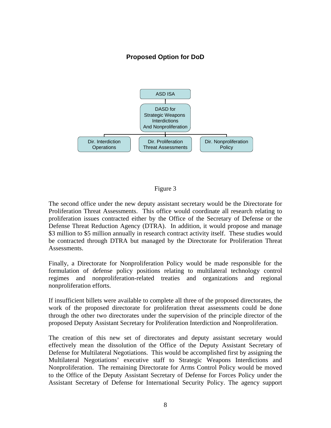### **Proposed Option for DoD**



### Figure 3

The second office under the new deputy assistant secretary would be the Directorate for Proliferation Threat Assessments. This office would coordinate all research relating to proliferation issues contracted either by the Office of the Secretary of Defense or the Defense Threat Reduction Agency (DTRA). In addition, it would propose and manage \$3 million to \$5 million annually in research contract activity itself. These studies would be contracted through DTRA but managed by the Directorate for Proliferation Threat Assessments.

Finally, a Directorate for Nonproliferation Policy would be made responsible for the formulation of defense policy positions relating to multilateral technology control regimes and nonproliferation-related treaties and organizations and regional nonproliferation efforts.

If insufficient billets were available to complete all three of the proposed directorates, the work of the proposed directorate for proliferation threat assessments could be done through the other two directorates under the supervision of the principle director of the proposed Deputy Assistant Secretary for Proliferation Interdiction and Nonproliferation.

The creation of this new set of directorates and deputy assistant secretary would effectively mean the dissolution of the Office of the Deputy Assistant Secretary of Defense for Multilateral Negotiations. This would be accomplished first by assigning the Multilateral Negotiations' executive staff to Strategic Weapons Interdictions and Nonproliferation. The remaining Directorate for Arms Control Policy would be moved to the Office of the Deputy Assistant Secretary of Defense for Forces Policy under the Assistant Secretary of Defense for International Security Policy. The agency support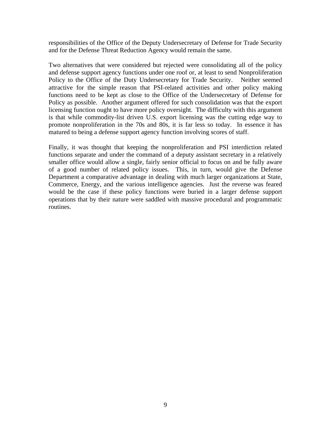responsibilities of the Office of the Deputy Undersecretary of Defense for Trade Security and for the Defense Threat Reduction Agency would remain the same.

Two alternatives that were considered but rejected were consolidating all of the policy and defense support agency functions under one roof or, at least to send Nonproliferation Policy to the Office of the Duty Undersecretary for Trade Security. Neither seemed attractive for the simple reason that PSI-related activities and other policy making functions need to be kept as close to the Office of the Undersecretary of Defense for Policy as possible. Another argument offered for such consolidation was that the export licensing function ought to have more policy oversight. The difficulty with this argument is that while commodity-list driven U.S. export licensing was the cutting edge way to promote nonproliferation in the 70s and 80s, it is far less so today. In essence it has matured to being a defense support agency function involving scores of staff.

Finally, it was thought that keeping the nonproliferation and PSI interdiction related functions separate and under the command of a deputy assistant secretary in a relatively smaller office would allow a single, fairly senior official to focus on and be fully aware of a good number of related policy issues. This, in turn, would give the Defense Department a comparative advantage in dealing with much larger organizations at State, Commerce, Energy, and the various intelligence agencies. Just the reverse was feared would be the case if these policy functions were buried in a larger defense support operations that by their nature were saddled with massive procedural and programmatic routines.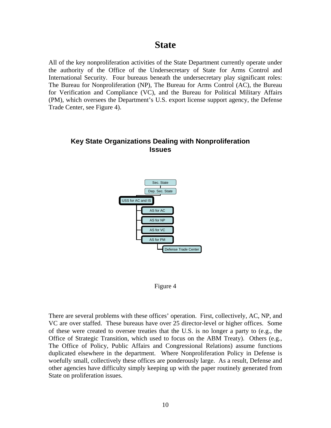### **State**

All of the key nonproliferation activities of the State Department currently operate under the authority of the Office of the Undersecretary of State for Arms Control and International Security. Four bureaus beneath the undersecretary play significant roles: The Bureau for Nonproliferation (NP), The Bureau for Arms Control (AC), the Bureau for Verification and Compliance (VC), and the Bureau for Political Military Affairs (PM), which oversees the Department's U.S. export license support agency, the Defense Trade Center, see Figure 4).

### **Key State Organizations Dealing with Nonproliferation Issues**



Figure 4

There are several problems with these offices' operation. First, collectively, AC, NP, and VC are over staffed. These bureaus have over 25 director-level or higher offices. Some of these were created to oversee treaties that the U.S. is no longer a party to (e.g., the Office of Strategic Transition, which used to focus on the ABM Treaty). Others (e.g., The Office of Policy, Public Affairs and Congressional Relations) assume functions duplicated elsewhere in the department. Where Nonproliferation Policy in Defense is woefully small, collectively these offices are ponderously large. As a result, Defense and other agencies have difficulty simply keeping up with the paper routinely generated from State on proliferation issues.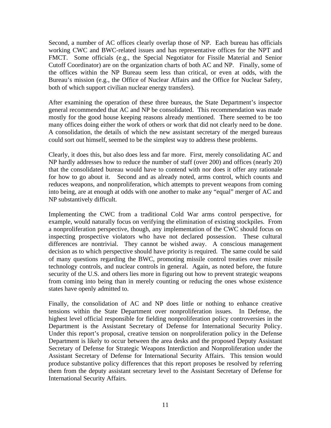Second, a number of AC offices clearly overlap those of NP. Each bureau has officials working CWC and BWC-related issues and has representative offices for the NPT and FMCT. Some officials (e.g., the Special Negotiator for Fissile Material and Senior Cutoff Coordinator) are on the organization charts of both AC and NP. Finally, some of the offices within the NP Bureau seem less than critical, or even at odds, with the Bureau's mission (e.g., the Office of Nuclear Affairs and the Office for Nuclear Safety, both of which support civilian nuclear energy transfers).

After examining the operation of these three bureaus, the State Department's inspector general recommended that AC and NP be consolidated. This recommendation was made mostly for the good house keeping reasons already mentioned. There seemed to be too many offices doing either the work of others or work that did not clearly need to be done. A consolidation, the details of which the new assistant secretary of the merged bureaus could sort out himself, seemed to be the simplest way to address these problems.

Clearly, it does this, but also does less and far more. First, merely consolidating AC and NP hardly addresses how to reduce the number of staff (over 200) and offices (nearly 20) that the consolidated bureau would have to contend with nor does it offer any rationale for how to go about it. Second and as already noted, arms control, which counts and reduces weapons, and nonproliferation, which attempts to prevent weapons from coming into being, are at enough at odds with one another to make any "equal" merger of AC and NP substantively difficult.

Implementing the CWC from a traditional Cold War arms control perspective, for example, would naturally focus on verifying the elimination of existing stockpiles. From a nonproliferation perspective, though, any implementation of the CWC should focus on inspecting prospective violators who have not declared possession. These cultural differences are nontrivial. They cannot be wished away. A conscious management decision as to which perspective should have priority is required. The same could be said of many questions regarding the BWC, promoting missile control treaties over missile technology controls, and nuclear controls in general. Again, as noted before, the future security of the U.S. and others lies more in figuring out how to prevent strategic weapons from coming into being than in merely counting or reducing the ones whose existence states have openly admitted to.

Finally, the consolidation of AC and NP does little or nothing to enhance creative tensions within the State Department over nonproliferation issues. In Defense, the highest level official responsible for fielding nonproliferation policy controversies in the Department is the Assistant Secretary of Defense for International Security Policy. Under this report's proposal, creative tension on nonproliferation policy in the Defense Department is likely to occur between the area desks and the proposed Deputy Assistant Secretary of Defense for Strategic Weapons Interdiction and Nonproliferation under the Assistant Secretary of Defense for International Security Affairs. This tension would produce substantive policy differences that this report proposes be resolved by referring them from the deputy assistant secretary level to the Assistant Secretary of Defense for International Security Affairs.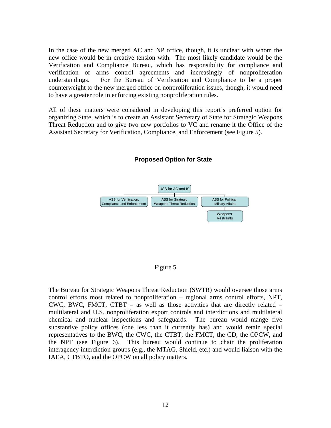In the case of the new merged AC and NP office, though, it is unclear with whom the new office would be in creative tension with. The most likely candidate would be the Verification and Compliance Bureau, which has responsibility for compliance and verification of arms control agreements and increasingly of nonproliferation understandings. For the Bureau of Verification and Compliance to be a proper counterweight to the new merged office on nonproliferation issues, though, it would need to have a greater role in enforcing existing nonproliferation rules.

All of these matters were considered in developing this report's preferred option for organizing State, which is to create an Assistant Secretary of State for Strategic Weapons Threat Reduction and to give two new portfolios to VC and rename it the Office of the Assistant Secretary for Verification, Compliance, and Enforcement (see Figure 5).



#### **Proposed Option for State**

#### Figure 5

The Bureau for Strategic Weapons Threat Reduction (SWTR) would oversee those arms control efforts most related to nonproliferation – regional arms control efforts, NPT, CWC, BWC, FMCT, CTBT  $-$  as well as those activities that are directly related  $$ multilateral and U.S. nonproliferation export controls and interdictions and multilateral chemical and nuclear inspections and safeguards. The bureau would mange five substantive policy offices (one less than it currently has) and would retain special representatives to the BWC, the CWC, the CTBT, the FMCT, the CD, the OPCW, and the NPT (see Figure 6). This bureau would continue to chair the proliferation interagency interdiction groups (e.g., the MTAG, Shield, etc.) and would liaison with the IAEA, CTBTO, and the OPCW on all policy matters.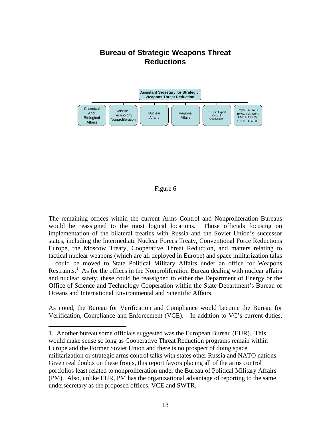### **Bureau of Strategic Weapons Threat Reductions**



#### Figure 6

The remaining offices within the current Arms Control and Nonproliferation Bureaus would be reassigned to the most logical locations. Those officials focusing on implementation of the bilateral treaties with Russia and the Soviet Union's successor states, including the Intermediate Nuclear Forces Treaty, Conventional Force Reductions Europe, the Moscow Treaty, Cooperative Threat Reduction, and matters relating to tactical nuclear weapons (which are all deployed in Europe) and space militarization talks – could be moved to State Political Military Affairs under an office for Weapons Restraints.<sup>1</sup> As for the offices in the Nonproliferation Bureau dealing with nuclear affairs and nuclear safety, these could be reassigned to either the Department of Energy or the Office of Science and Technology Cooperation within the State Department's Bureau of Oceans and International Environmental and Scientific Affairs.

As noted, the Bureau for Verification and Compliance would become the Bureau for Verification, Compliance and Enforcement (VCE). In addition to VC's current duties,

 $\overline{a}$ 

<span id="page-13-0"></span>1. Another bureau some officials suggested was the European Bureau (EUR). This would make sense so long as Cooperative Threat Reduction programs remain within Europe and the Former Soviet Union and there is no prospect of doing space militarization or strategic arms control talks with states other Russia and NATO nations. Given real doubts on these fronts, this report favors placing all of the arms control portfolios least related to nonproliferation under the Bureau of Political Military Affairs (PM). Also, unlike EUR, PM has the organizational advantage of reporting to the same undersecretary as the proposed offices, VCE and SWTR.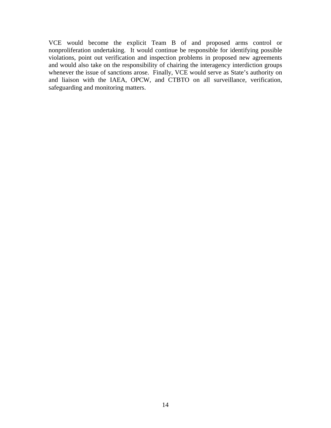VCE would become the explicit Team B of and proposed arms control or nonproliferation undertaking. It would continue be responsible for identifying possible violations, point out verification and inspection problems in proposed new agreements and would also take on the responsibility of chairing the interagency interdiction groups whenever the issue of sanctions arose. Finally, VCE would serve as State's authority on and liaison with the IAEA, OPCW, and CTBTO on all surveillance, verification, safeguarding and monitoring matters.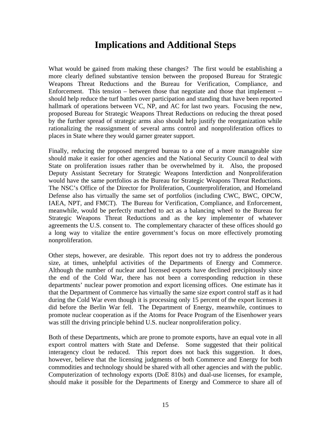## **Implications and Additional Steps**

What would be gained from making these changes? The first would be establishing a more clearly defined substantive tension between the proposed Bureau for Strategic Weapons Threat Reductions and the Bureau for Verification, Compliance, and Enforcement. This tension – between those that negotiate and those that implement - should help reduce the turf battles over participation and standing that have been reported hallmark of operations between VC, NP, and AC for last two years. Focusing the new, proposed Bureau for Strategic Weapons Threat Reductions on reducing the threat posed by the further spread of strategic arms also should help justify the reorganization while rationalizing the reassignment of several arms control and nonproliferation offices to places in State where they would garner greater support.

Finally, reducing the proposed mergered bureau to a one of a more manageable size should make it easier for other agencies and the National Security Council to deal with State on proliferation issues rather than be overwhelmed by it. Also, the proposed Deputy Assistant Secretary for Strategic Weapons Interdiction and Nonproliferation would have the same portfolios as the Bureau for Strategic Weapons Threat Reductions. The NSC's Office of the Director for Proliferation, Counterproliferation, and Homeland Defense also has virtually the same set of portfolios (including CWC, BWC, OPCW, IAEA, NPT, and FMCT). The Bureau for Verification, Compliance, and Enforcement, meanwhile, would be perfectly matched to act as a balancing wheel to the Bureau for Strategic Weapons Threat Reductions and as the key implementer of whatever agreements the U.S. consent to. The complementary character of these offices should go a long way to vitalize the entire government's focus on more effectively promoting nonproliferation.

Other steps, however, are desirable. This report does not try to address the ponderous size, at times, unhelpful activities of the Departments of Energy and Commerce. Although the number of nuclear and licensed exports have declined precipitously since the end of the Cold War, there has not been a corresponding reduction in these departments' nuclear power promotion and export licensing offices. One estimate has it that the Department of Commerce has virtually the same size export control staff as it had during the Cold War even though it is processing only 15 percent of the export licenses it did before the Berlin War fell. The Department of Energy, meanwhile, continues to promote nuclear cooperation as if the Atoms for Peace Program of the Eisenhower years was still the driving principle behind U.S. nuclear nonproliferation policy.

Both of these Departments, which are prone to promote exports, have an equal vote in all export control matters with State and Defense. Some suggested that their political interagency clout be reduced. This report does not back this suggestion. It does, however, believe that the licensing judgments of both Commerce and Energy for both commodities and technology should be shared with all other agencies and with the public. Computerization of technology exports (DoE 810s) and dual-use licenses, for example, should make it possible for the Departments of Energy and Commerce to share all of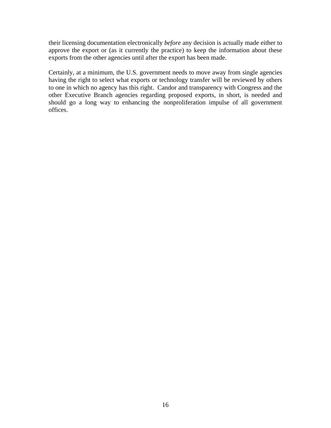their licensing documentation electronically *before* any decision is actually made either to approve the export or (as it currently the practice) to keep the information about these exports from the other agencies until after the export has been made.

Certainly, at a minimum, the U.S. government needs to move away from single agencies having the right to select what exports or technology transfer will be reviewed by others to one in which no agency has this right. Candor and transparency with Congress and the other Executive Branch agencies regarding proposed exports, in short, is needed and should go a long way to enhancing the nonproliferation impulse of all government offices.